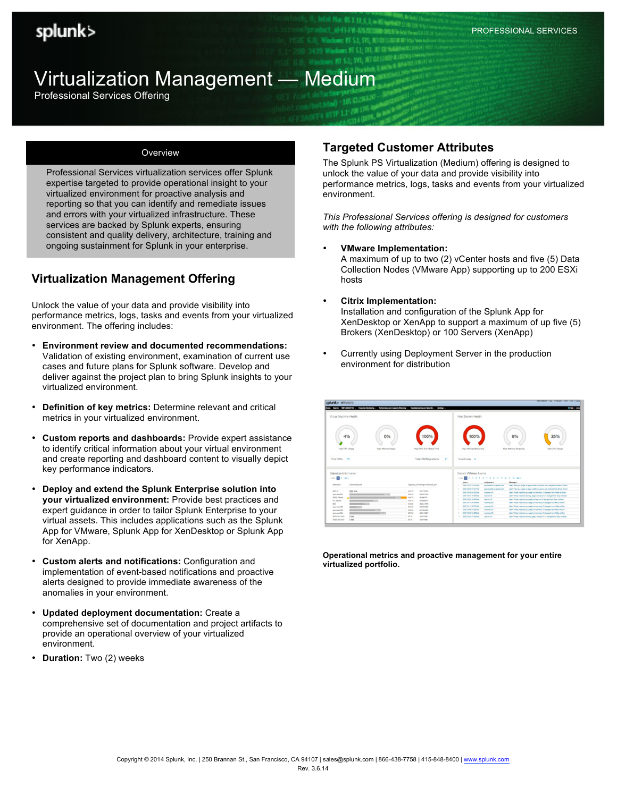# Virtualization Management — Medium

Professional Services Offering

#### **Overview**

Professional Services virtualization services offer Splunk expertise targeted to provide operational insight to your virtualized environment for proactive analysis and reporting so that you can identify and remediate issues and errors with your virtualized infrastructure. These services are backed by Splunk experts, ensuring consistent and quality delivery, architecture, training and ongoing sustainment for Splunk in your enterprise.

# **Virtualization Management Offering**

Unlock the value of your data and provide visibility into performance metrics, logs, tasks and events from your virtualized environment. The offering includes:

- **Environment review and documented recommendations:**  Validation of existing environment, examination of current use cases and future plans for Splunk software. Develop and deliver against the project plan to bring Splunk insights to your virtualized environment.
- **Definition of key metrics:** Determine relevant and critical metrics in your virtualized environment.
- **Custom reports and dashboards:** Provide expert assistance to identify critical information about your virtual environment and create reporting and dashboard content to visually depict key performance indicators.
- **Deploy and extend the Splunk Enterprise solution into your virtualized environment:** Provide best practices and expert guidance in order to tailor Splunk Enterprise to your virtual assets. This includes applications such as the Splunk App for VMware, Splunk App for XenDesktop or Splunk App for XenApp.
- **Custom alerts and notifications:** Configuration and implementation of event-based notifications and proactive alerts designed to provide immediate awareness of the anomalies in your environment.
- **Updated deployment documentation:** Create a comprehensive set of documentation and project artifacts to provide an operational overview of your virtualized environment.
- **Duration:** Two (2) weeks

## **Targeted Customer Attributes**

The Splunk PS Virtualization (Medium) offering is designed to unlock the value of your data and provide visibility into performance metrics, logs, tasks and events from your virtualized environment.

*This Professional Services offering is designed for customers with the following attributes:*

- **VMware Implementation:** A maximum of up to two (2) vCenter hosts and five (5) Data Collection Nodes (VMware App) supporting up to 200 ESXi hosts
- **Citrix Implementation:** Installation and configuration of the Splunk App for XenDesktop or XenApp to support a maximum of up five (5) Brokers (XenDesktop) or 100 Servers (XenApp)
- Currently using Deployment Server in the production environment for distribution

| splunk> wmware                                                                                                                                                                                 | barch, 1989 (MAGNTED or Provide Martinley - Performance of Capacity Planning - Traditionizing and Barchy - Bettings -                                                                                                                              |                                                                                                                                                                                                                                                                                                                                                                            | $-1$                                                                                                                                                                                                                                                                                                                                                                                                                                                                                                                                                                                                                                                                           |
|------------------------------------------------------------------------------------------------------------------------------------------------------------------------------------------------|----------------------------------------------------------------------------------------------------------------------------------------------------------------------------------------------------------------------------------------------------|----------------------------------------------------------------------------------------------------------------------------------------------------------------------------------------------------------------------------------------------------------------------------------------------------------------------------------------------------------------------------|--------------------------------------------------------------------------------------------------------------------------------------------------------------------------------------------------------------------------------------------------------------------------------------------------------------------------------------------------------------------------------------------------------------------------------------------------------------------------------------------------------------------------------------------------------------------------------------------------------------------------------------------------------------------------------|
| Virtual Machine Health                                                                                                                                                                         |                                                                                                                                                                                                                                                    | Host System Health                                                                                                                                                                                                                                                                                                                                                         |                                                                                                                                                                                                                                                                                                                                                                                                                                                                                                                                                                                                                                                                                |
| 4%<br>High CPU Usage                                                                                                                                                                           | 0%<br>100%<br>Hun CPU Sun Ready Time                                                                                                                                                                                                               | 100%<br>High Memory Bulloching                                                                                                                                                                                                                                                                                                                                             | 25%<br>0%<br><b>Hut Memory Swapping</b><br>High CPU Usean                                                                                                                                                                                                                                                                                                                                                                                                                                                                                                                                                                                                                      |
| Total VMs: 70                                                                                                                                                                                  | High Memory Usage<br>Total VM Migrations: 21                                                                                                                                                                                                       | Total Hosts 4                                                                                                                                                                                                                                                                                                                                                              |                                                                                                                                                                                                                                                                                                                                                                                                                                                                                                                                                                                                                                                                                |
| Datastore Information<br>con El proper-                                                                                                                                                        |                                                                                                                                                                                                                                                    | Recent VMWare Alarms<br>1200 00 1 2 3 4 5 6 7 8 9 10 11 12 13 14 14 15                                                                                                                                                                                                                                                                                                     |                                                                                                                                                                                                                                                                                                                                                                                                                                                                                                                                                                                                                                                                                |
| Committed GA<br><b>Cartagrams</b>                                                                                                                                                              | Espany, Gill Guerprovisional, pct.                                                                                                                                                                                                                 | artistant i<br><b>See i</b><br>GRY-FRIZIAT ASIAN<br><b><i>REPAIRING ACADEMY</i></b><br>GS1242127.021 etc                                                                                                                                                                                                                                                                   | <b>Research</b> In<br>Alarm "Well so usage" on appointed from adults com shariged from Marl is down.                                                                                                                                                                                                                                                                                                                                                                                                                                                                                                                                                                           |
| MYLD.<br>$m_{\rm H}$<br>ADDRESS PRO<br>delta, finesi<br><b>EC</b> Should<br>$-1111$<br>11.22<br><b>DO</b><br>And in course First<br>$-0.01$<br>$-1111$<br>AIX to excertibility<br>ADOI PAULTER | <b>RIA 73</b><br><b>COLTTEBER</b><br>m<br>204,231<br><b>JR GETTAR</b><br>949.78<br>AMARIA<br>54.76<br>$-80.094014$<br>7/2.93<br>$-01.2 + 0.774$<br>194.95<br><b>JKALMAL</b><br>all Marks<br>494, 631<br>367.93<br>$-98.8 + 30.67$<br><b>RETTER</b> | was maddle acquired and<br>SUSPICIOUS DE 202 HW<br><b>EMOTION TA</b><br>CAN'T A WOT'L FROM HOME<br><b>STATISTICS</b><br>SISTENDAD 178 (CSL CAL<br><b>Southern War</b><br>tieter in a la sila aus<br><b>CASTING TO</b><br>GRY-2-6 11-762 AM<br><b>Insurance FA</b><br>SW-240634 Johnson<br><b><i>SHARRA SA</i></b><br><b>SUNTERED To STRATE</b><br>٠<br><b>Expertise FA</b> | Alarn Vient as usage' or again excelled in askets can sharped from Green a Fost<br>Allen "Villus mailine cay your en moning. Th present torn follow to Green<br>Alan's "Volum meeting meeting yeage" on black arts "if changed from Day to Green<br>Alarm "Kidual mastrice you yough on head with 18 shareport from Lines to Great<br>Alarm "Mitsul method car usuper an internation, the managed form Bacha halow.<br>Allers' Volume reserves you usuand on interesting. The shareport from Volume to Real<br>Alarm "Kirkus mastries stay alarge" on manhine. All shanged thim Alac is Taken-<br>Alara "Aldual medicin cor usual on increase. The paraged know helps to fluc- |
| <b>Feas</b><br><b>GCS/ RT-499</b><br>19.95<br>OCO 102 exter                                                                                                                                    | 39.79<br><b>CONTRACT</b><br>28.76<br>$-00.6 + 0.001$                                                                                                                                                                                               | T CONTRACTOR<br><b><i><u>Spain All</u></i></b>                                                                                                                                                                                                                                                                                                                             | Alarn Trikus' maintee express usear as least until a demand ham Dan to Group.                                                                                                                                                                                                                                                                                                                                                                                                                                                                                                                                                                                                  |

**Operational metrics and proactive management for your entire virtualized portfolio.**